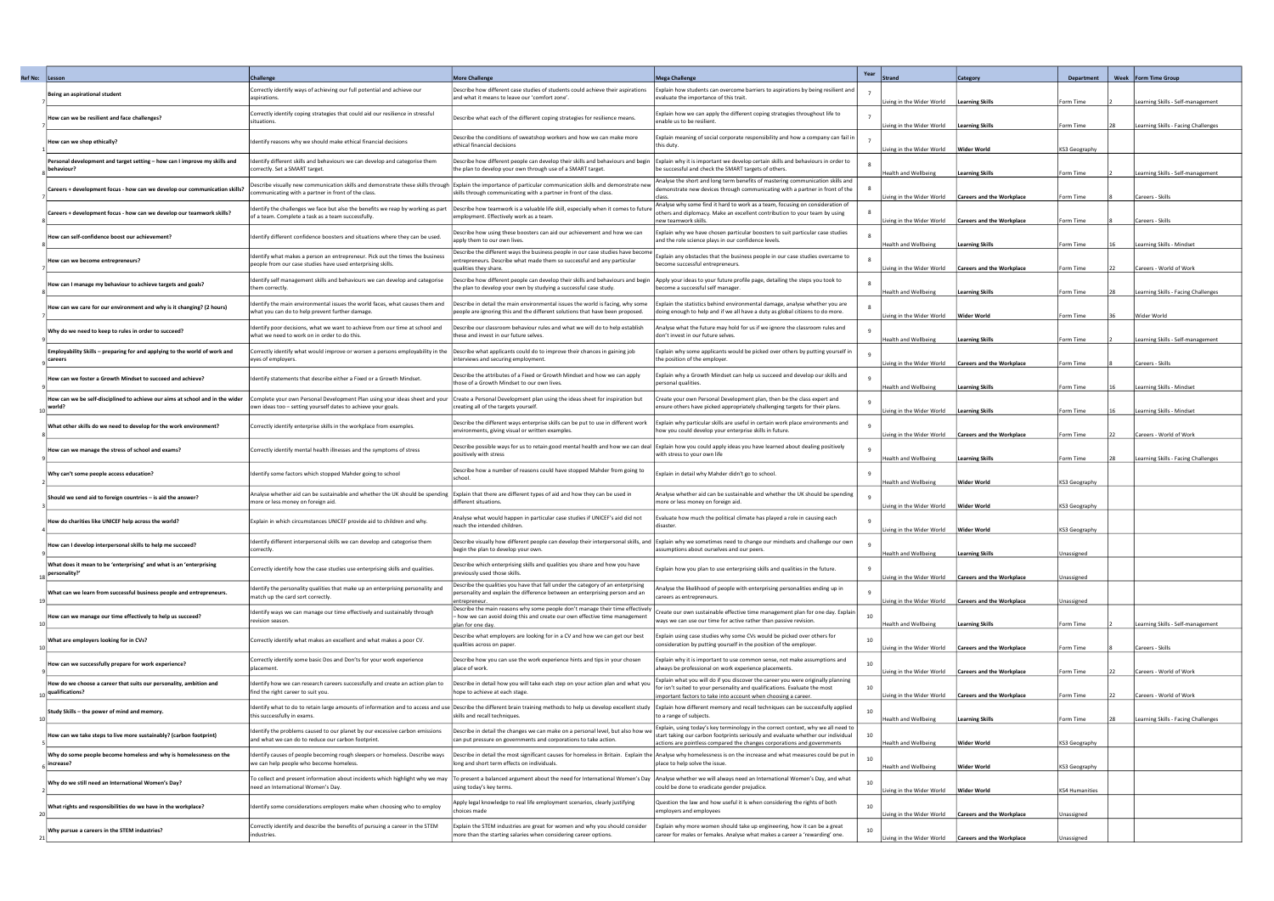| Ref No: | Lesson                                                                                  | <b>Challenge</b>                                                                                                                             | <b>More Challenge</b>                                                                                                                                                                                                                                          | <b>Mega Challenge</b>                                                                                                                                                                                                                            | Year<br><b>Strand</b>                                       | <b>Category</b>                                      | Department             | Week   Form Time Group                                                 |
|---------|-----------------------------------------------------------------------------------------|----------------------------------------------------------------------------------------------------------------------------------------------|----------------------------------------------------------------------------------------------------------------------------------------------------------------------------------------------------------------------------------------------------------------|--------------------------------------------------------------------------------------------------------------------------------------------------------------------------------------------------------------------------------------------------|-------------------------------------------------------------|------------------------------------------------------|------------------------|------------------------------------------------------------------------|
|         | Being an aspirational student                                                           | Correctly identify ways of achieving our full potential and achieve our<br>aspirations.                                                      | Describe how different case studies of students could achieve their aspirations<br>and what it means to leave our 'comfort zone'.                                                                                                                              | Explain how students can overcome barriers to aspirations by being resilient and<br>evaluate the importance of this trait.                                                                                                                       |                                                             |                                                      |                        |                                                                        |
|         | How can we be resilient and face challenges?                                            | Correctly identify coping strategies that could aid our resilience in stressful<br>situations.                                               | Describe what each of the different coping strategies for resilience means.                                                                                                                                                                                    | Explain how we can apply the different coping strategies throughout life to<br>enable us to be resilient.                                                                                                                                        | Living in the Wider World<br>iving in the Wider World.      | <b>Learning Skills</b><br><b>Learning Skills</b>     | Form Time<br>Form Time | earning Skills - Self-management<br>earning Skills - Facing Challenges |
|         | How can we shop ethically?                                                              | Identify reasons why we should make ethical financial decisions                                                                              | Describe the conditions of sweatshop workers and how we can make more<br>ethical financial decisions                                                                                                                                                           | Explain meaning of social corporate responsibility and how a company can fail in<br>this duty                                                                                                                                                    | iving in the Wider World.                                   | <b>Wider World</b>                                   | <b>KS3 Geography</b>   |                                                                        |
|         | 'ersonal development and target setting – how can I improve my skills and<br>behaviour? | dentify different skills and behaviours we can develop and categorise them<br>correctly. Set a SMART target.                                 | Describe how different people can develop their skills and behaviours and begin   Explain why it is important we develop certain skills and behaviours in order to<br>the plan to develop your own through use of a SMART target.                              | be successful and check the SMART targets of others.                                                                                                                                                                                             | <b>Health and Wellbeing</b>                                 | <b>Learning Skills</b>                               | Form Time              | earning Skills - Self-management                                       |
|         | Careers + development focus - how can we develop our communication skills?              | Describe visually new communication skills and demonstrate these skills through<br>communicating with a partner in front of the class.       | Explain the importance of particular communication skills and demonstrate new<br>skills through communicating with a partner in front of the class.                                                                                                            | Analyse the short and long term benefits of mastering communication skills and<br>demonstrate new devices through communicating with a partner in front of the                                                                                   | iving in the Wider World                                    | <b>Careers and the Workplace</b>                     | Form Time              | Careers - Skills                                                       |
|         | Careers + development focus - how can we develop our teamwork skills?                   | dentify the challenges we face but also the benefits we reap by working as part<br>of a team. Complete a task as a team successfully.        | Describe how teamwork is a valuable life skill, especially when it comes to future<br>employment. Effectively work as a team.                                                                                                                                  | Analyse why some find it hard to work as a team, focusing on consideration of<br>others and diplomacy. Make an excellent contribution to your team by using<br>new teamwork skills                                                               | iving in the Wider World.                                   | <b>Careers and the Workplace</b>                     | Form Time              | Careers - Skills                                                       |
|         | How can self-confidence boost our achievement?                                          | Identify different confidence boosters and situations where they can be used.                                                                | Describe how using these boosters can aid our achievement and how we can<br>apply them to our own lives.                                                                                                                                                       | Explain why we have chosen particular boosters to suit particular case studies<br>and the role science plays in our confidence levels                                                                                                            | Health and Wellbeing                                        | Learning Skills                                      | Form Time              | Learning Skills - Mindset                                              |
|         | How can we become entrepreneurs?                                                        | Identify what makes a person an entrepreneur. Pick out the times the business<br>people from our case studies have used enterprising skills. | Describe the different ways the business people in our case studies have become<br>entrepreneurs. Describe what made them so successful and any particular<br>qualities they share.                                                                            | Explain any obstacles that the business people in our case studies overcame to<br>become successful entrepreneurs.                                                                                                                               | iving in the Wider World.                                   | <b>Careers and the Workplace</b>                     | Form Time              | Careers - World of Work                                                |
|         | How can I manage my behaviour to achieve targets and goals?                             | Identify self management skills and behaviours we can develop and categorise<br>them correctly.                                              | Describe how different people can develop their skills and behaviours and begin  Apply your ideas to your future profile page, detailing the steps you took to<br>the plan to develop your own by studying a successful case study.                            | become a successful self manager                                                                                                                                                                                                                 | <b>Health and Wellbeing</b>                                 | <b>Learning Skills</b>                               | Form Time              | earning Skills - Facing Challenges                                     |
|         | low can we care for our environment and why is it changing? (2 hours)                   | Identify the main environmental issues the world faces, what causes them and<br>what you can do to help prevent further damage.              | Describe in detail the main environmental issues the world is facing, why some<br>people are ignoring this and the different solutions that have been proposed.                                                                                                | Explain the statistics behind environmental damage, analyse whether you are<br>doing enough to help and if we all have a duty as global citizens to do more.                                                                                     | iving in the Wider World                                    | <b>Wider World</b>                                   | Form Time              | Wider World                                                            |
|         | Why do we need to keep to rules in order to succeed?                                    | Identify poor decisions, what we want to achieve from our time at school and<br>what we need to work on in order to do this.                 | Describe our classroom behaviour rules and what we will do to help establish<br>these and invest in our future selves.                                                                                                                                         | Analyse what the future may hold for us if we ignore the classroom rules and<br>don't invest in our future selves.                                                                                                                               | <b>Health and Wellbeing</b>                                 | <b>Learning Skills</b>                               | Form Time              | earning Skills - Self-management                                       |
|         | Employability Skills – preparing for and applying to the world of work and<br>careers   | Correctly identify what would improve or worsen a persons employability in the<br>eyes of employers.                                         | Describe what applicants could do to improve their chances in gaining job<br>interviews and securing employment.                                                                                                                                               | Explain why some applicants would be picked over others by putting yourself in<br>the position of the employer.                                                                                                                                  | iving in the Wider World.                                   | <b>Careers and the Workplace</b>                     | Form Time              | Careers - Skills                                                       |
|         | How can we foster a Growth Mindset to succeed and achieve?                              | Identify statements that describe either a Fixed or a Growth Mindset.                                                                        | Describe the attributes of a Fixed or Growth Mindset and how we can apply<br>those of a Growth Mindset to our own lives.                                                                                                                                       | Explain why a Growth Mindset can help us succeed and develop our skills and<br>personal qualities.                                                                                                                                               | Health and Wellbeing                                        | Learning Skills                                      | Form Time              | Learning Skills - Mindset                                              |
|         | low can we be self-disciplined to achieve our aims at school and in the wider<br>world? | Complete your own Personal Development Plan using your ideas sheet and your<br>own ideas too - setting yourself dates to achieve your goals. | Create a Personal Development plan using the ideas sheet for inspiration but<br>creating all of the targets yourself.                                                                                                                                          | Create your own Personal Development plan, then be the class expert and<br>ensure others have picked appropriately challenging targets for their plans.                                                                                          | iving in the Wider World.                                   | <b>Learning Skills</b>                               | orm Time               | earning Skills - Mindset                                               |
|         | What other skills do we need to develop for the work environment?                       | Correctly identify enterprise skills in the workplace from examples.                                                                         | Describe the different ways enterprise skills can be put to use in different work<br>environments, giving visual or written examples.                                                                                                                          | Explain why particular skills are useful in certain work place environments and<br>how you could develop your enterprise skills in future.                                                                                                       | iving in the Wider World.                                   | <b>Careers and the Workplace</b>                     | Form Time              | Careers - World of Work                                                |
|         | low can we manage the stress of school and exams?                                       | Correctly identify mental health illnesses and the symptoms of stress                                                                        | Describe possible ways for us to retain good mental health and how we can deal   Explain how you could apply ideas you have learned about dealing positively<br>positively with stress                                                                         | with stress to your own life                                                                                                                                                                                                                     | <b>Health and Wellbeing</b>                                 | <b>Learning Skills</b>                               | Form Time              | Learning Skills - Facing Challenges                                    |
|         | Why can't some people access education?                                                 | Identify some factors which stopped Mahder going to school                                                                                   | Describe how a number of reasons could have stopped Mahder from going to<br>school                                                                                                                                                                             | Explain in detail why Mahder didn't go to school.                                                                                                                                                                                                | <b>Health and Wellbeing</b>                                 | <b>Wider World</b>                                   | KS3 Geography          |                                                                        |
|         | Should we send aid to foreign countries – is aid the answer?                            | Analyse whether aid can be sustainable and whether the UK should be spending<br>more or less money on foreign aid.                           | Explain that there are different types of aid and how they can be used in<br>different situations.                                                                                                                                                             | Analyse whether aid can be sustainable and whether the UK should be spending<br>more or less money on foreign aid.                                                                                                                               | iving in the Wider World.                                   | <b>Wider World</b>                                   | KS3 Geography          |                                                                        |
|         | How do charities like UNICEF help across the world?                                     | Explain in which circumstances UNICEF provide aid to children and why.                                                                       | Analyse what would happen in particular case studies if UNICEF's aid did not<br>reach the intended children.                                                                                                                                                   | Evaluate how much the political climate has played a role in causing each<br>disaster                                                                                                                                                            | iving in the Wider World.                                   | <b>Wider World</b>                                   | KS3 Geography          |                                                                        |
|         | How can I develop interpersonal skills to help me succeed?                              | dentify different interpersonal skills we can develop and categorise them<br>correctly.                                                      | Describe visually how different people can develop their interpersonal skills, and Explain why we sometimes need to change our mindsets and challenge our own<br>begin the plan to develop your own.                                                           | assumptions about ourselves and our peers.                                                                                                                                                                                                       | <b>Health and Wellbeing</b>                                 | <b>Learning Skills</b>                               | Jnassigned             |                                                                        |
|         | What does it mean to be 'enterprising' and what is an 'enterprising<br>personality?'    | Correctly identify how the case studies use enterprising skills and qualities.                                                               | Describe which enterprising skills and qualities you share and how you have<br>previously used those skills.                                                                                                                                                   | Explain how you plan to use enterprising skills and qualities in the future.                                                                                                                                                                     | iving in the Wider World.                                   | <b>Careers and the Workplace</b>                     | Jnassigned             |                                                                        |
|         | What can we learn from successful business people and entrepreneurs.                    | Identify the personality qualities that make up an enterprising personality and<br>match up the card sort correctly.                         | Describe the qualities you have that fall under the category of an enterprising<br>personality and explain the difference between an enterprising person and an<br>entrepreneur.                                                                               | Analyse the likelihood of people with enterprising personalities ending up in<br>careers as entrepreneurs.                                                                                                                                       | iving in the Wider World.                                   | <b>Careers and the Workplace</b>                     | Unassigned             |                                                                        |
|         | How can we manage our time effectively to help us succeed?                              | dentify ways we can manage our time effectively and sustainably through<br>evision season.                                                   | Describe the main reasons why some people don't manage their time effectively<br>how we can avoid doing this and create our own effective time management<br>plan for one day                                                                                  | Create our own sustainable effective time management plan for one day. Explain<br>ways we can use our time for active rather than passive revision.                                                                                              | 10<br><b>Health and Wellbeing</b>                           | <b>Learning Skills</b>                               | Form Time              | earning Skills - Self-management.                                      |
|         | What are employers looking for in CVs?                                                  | Correctly identify what makes an excellent and what makes a poor CV.                                                                         | Describe what employers are looking for in a CV and how we can get our best<br>qualities across on paper.                                                                                                                                                      | Explain using case studies why some CVs would be picked over others for<br>consideration by putting yourself in the position of the employer.                                                                                                    | iving in the Wider World.                                   | <b>Careers and the Workplace</b>                     | Form Time              | Careers - Skills                                                       |
|         | How can we successfully prepare for work experience?                                    | Correctly identify some basic Dos and Don'ts for your work experience<br>placement.                                                          | Describe how you can use the work experience hints and tips in your chosen<br>place of work.                                                                                                                                                                   | Explain why it is important to use common sense, not make assumptions and<br>always be professional on work experience placements.                                                                                                               |                                                             | iving in the Wider World   Careers and the Workplace | Form Time              | Careers - World of Work                                                |
|         | low do we choose a career that suits our personality, ambition and<br>qualifications?   | Identify how we can research careers successfully and create an action plan to<br>find the right career to suit you.                         | Describe in detail how you will take each step on your action plan and what you<br>hope to achieve at each stage.                                                                                                                                              | Explain what you will do if you discover the career you were originally planning<br>for isn't suited to your personality and qualifications. Evaluate the most<br>important factors to take into account when choosing a career.                 | 10<br>iving in the Wider World.                             | <b>Careers and the Workplace</b>                     | Form Time              | Careers - World of Work                                                |
|         | Study Skills – the power of mind and memory.                                            | this successfully in exams.                                                                                                                  | Identify what to do to retain large amounts of information and to access and use Describe the different brain training methods to help us develop excellent study   Explain how different memory and recall techniques can be<br>skills and recall techniques. | to a range of subjects.                                                                                                                                                                                                                          | 10<br><b>Health and Wellbeing</b>                           | <b>Learning Skills</b>                               | Form Time              | Learning Skills - Facing Challenges                                    |
|         | How can we take steps to live more sustainably? (carbon footprint)                      | Identify the problems caused to our planet by our excessive carbon emissions<br>and what we can do to reduce our carbon footprint.           | Describe in detail the changes we can make on a personal level, but also how we<br>can put pressure on governments and corporations to take action.                                                                                                            | Explain, using today's key terminology in the correct context, why we all need to<br>start taking our carbon footprints seriously and evaluate whether our individual<br>actions are pointless compared the changes corporations and governments | <b>Health and Wellbeing</b>                                 | <b>Wider World</b>                                   | KS3 Geography          |                                                                        |
|         | Why do some people become homeless and why is homelessness on the<br>increase?          | Identify causes of people becoming rough sleepers or homeless. Describe ways<br>we can help people who become homeless.                      | Describe in detail the most significant causes for homeless in Britain. Explain the  Analyse why homelessness is on the increase and what measures could be put in<br>long and short term effects on individuals.                                              | place to help solve the issue.                                                                                                                                                                                                                   | Health and Wellbeing                                        | <b>Wider World</b>                                   | KS3 Geography          |                                                                        |
|         | Why do we still need an International Women's Day?                                      | To collect and present information about incidents which highlight why we may<br>need an International Women's Day.                          | To present a balanced argument about the need for International Women's Day  Analyse whether we will always need an International Women's Day, and what<br>using today's key terms.                                                                            | could be done to eradicate gender prejudice.                                                                                                                                                                                                     | Living in the Wider World                                   | <b>Wider World</b>                                   | KS4 Humanities         |                                                                        |
|         | What rights and responsibilities do we have in the workplace?                           | Identify some considerations employers make when choosing who to employ                                                                      | Apply legal knowledge to real life employment scenarios, clearly justifying<br>choices made                                                                                                                                                                    | Question the law and how useful it is when considering the rights of both<br>employers and employees                                                                                                                                             | 10<br>Living in the Wider World   Careers and the Workplace |                                                      | Unassigned             |                                                                        |
|         | Why pursue a careers in the STEM industries?                                            | Correctly identify and describe the benefits of pursuing a career in the STEM<br>industries.                                                 | Explain the STEM industries are great for women and why you should consider<br>more than the starting salaries when considering career options.                                                                                                                | Explain why more women should take up engineering, how it can be a great<br>career for males or females. Analyse what makes a career a 'rewarding' one.                                                                                          |                                                             | iving in the Wider World   Careers and the Workplace | <b>Jnassigned</b>      |                                                                        |